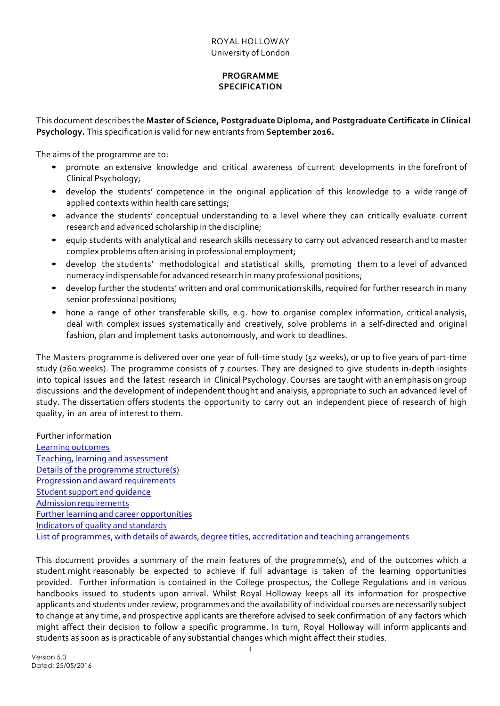## **PROGRAMME SPECIFICATION**

This document describes the **Master of Science, PostgraduateDiploma, and Postgraduate Certificate in Clinical Psychology.** This specification is valid for new entrants from **September 2016.**

The aims of the programme are to:

- promote an extensive knowledge and critical awareness of current developments in the forefront of Clinical Psychology;
- develop the students' competence in the original application of this knowledge to a wide range of applied contexts within health care settings;
- advance the students' conceptual understanding to a level where they can critically evaluate current research and advanced scholarship in the discipline;
- equip students with analytical and research skills necessary to carry out advanced research and to master complex problems often arising in professional employment;
- develop the students' methodological and statistical skills, promoting them to a level of advanced numeracy indispensable for advanced research in many professional positions;
- develop further the students' written and oral communication skills, required for further research in many senior professional positions;
- hone a range of other transferable skills, e.g. how to organise complex information, critical analysis, deal with complex issues systematically and creatively, solve problems in a self-directed and original fashion, plan and implement tasks autonomously, and work to deadlines.

The Masters programme is delivered over one year of full-time study (52 weeks), or up to five years of part-time study (260 weeks). The programme consists of 7 courses. They are designed to give students in-depth insights into topical issues and the latest research in Clinical Psychology. Courses are taught with an emphasis on group discussions and the development of independent thought and analysis, appropriate to such an advanced level of study. The dissertation offers students the opportunity to carry out an independent piece of research of high quality, in an area of interest to them.

Further information Learning outcomes Teaching, learning and assessment Details of the programme structure(s) Progression and award requirements Student support and guidance Admission requirements Further learning and career opportunities Indicators of quality and standards List of programmes, with details of awards, degree titles, accreditation and teaching arrangements

This document provides a summary of the main features of the programme(s), and of the outcomes which a student might reasonably be expected to achieve if full advantage is taken of the learning opportunities provided. Further information is contained in the College prospectus, the College Regulations and in various handbooks issued to students upon arrival. Whilst Royal Holloway keeps all its information for prospective applicants and students under review, programmes and the availability of individual courses are necessarily subject to change at any time, and prospective applicants are therefore advised to seek confirmation of any factors which might affect their decision to follow a specific programme. In turn, Royal Holloway will inform applicants and students as soon as is practicable of any substantial changes which might affect their studies.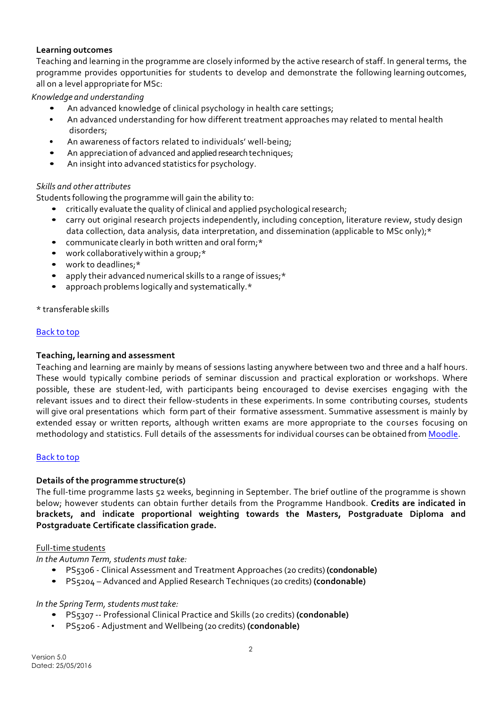### **Learning outcomes**

Teaching and learning in the programme are closely informed by the active research of staff. In general terms, the programme provides opportunities for students to develop and demonstrate the following learning outcomes, all on a level appropriate for MSc:

*Knowledge and understanding*

- An advanced knowledge of clinical psychology in health care settings;
- An advanced understanding for how different treatment approaches may related to mental health disorders;
- An awareness of factors related to individuals' well-being;
- An appreciation of advanced and applied research techniques;
- An insight into advanced statistics for psychology.

## *Skills and other attributes*

Students following the programme will gain the ability to:

- critically evaluate the quality of clinical and applied psychological research;
- carry out original research projects independently, including conception, literature review, study design data collection, data analysis, data interpretation, and dissemination (applicable to MSc only);\*
- communicate clearly in both written and oral form;\*
- work collaboratively within a group;\*
- work to deadlines;\*
- apply their advanced numerical skills to a range of issues;\*
- approach problems logically and systematically.\*

\* transferable skills

### Back to top

### **Teaching, learning and assessment**

Teaching and learning are mainly by means of sessions lasting anywhere between two and three and a half hours. These would typically combine periods of seminar discussion and practical exploration or workshops. Where possible, these are student-led, with participants being encouraged to devise exercises engaging with the relevant issues and to direct their fellow-students in these experiments. In some contributing courses, students will give oral presentations which form part of their formative assessment. Summative assessment is mainly by extended essay or written reports, although written exams are more appropriate to the courses focusing on methodology and statistics. Full details of the assessments for individual courses can be obtained from Moodle.

### Back to top

### **Details of the programme structure(s)**

The full-time programme lasts 52 weeks, beginning in September. The brief outline of the programme is shown below; however students can obtain further details from the Programme Handbook. **Credits are indicated in brackets, and indicate proportional weighting towards the Masters, Postgraduate Diploma and Postgraduate Certificate classification grade.**

### Full-time students

*In the Autumn Term,students must take:*

- PS5306 Clinical Assessment and Treatment Approaches (20 credits) **(condonable)**
- PS5204 Advanced and Applied Research Techniques (20 credits) **(condonable)**

### *In the Spring Term, students must take:*

- PS5307 -- Professional Clinical Practice and Skills (20 credits) **(condonable)**
- PS5206 Adjustment and Wellbeing (20 credits) **(condonable)**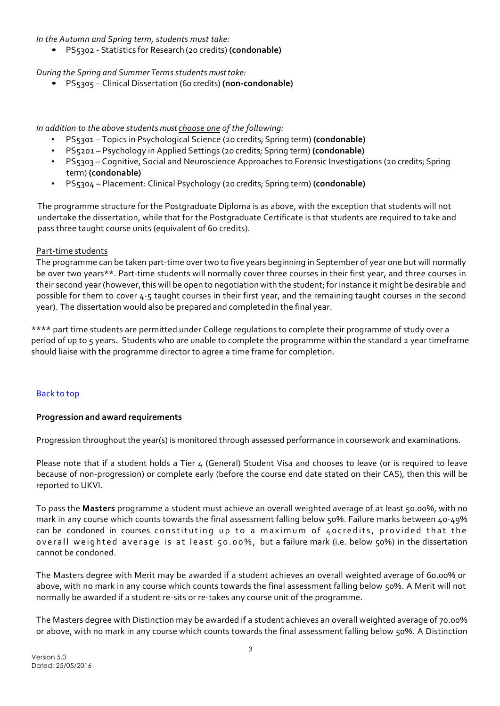*In the Autumn and Spring term, students must take:*

• PS5302 - Statistics for Research (20 credits) **(condonable)**

*During the Spring and Summer Termsstudents must take:*

• PS5305 – Clinical Dissertation (60 credits) **(non-condonable)**

*In addition to the above students must choose one of the following:*

- PS5301 Topics in Psychological Science (20 credits; Spring term) **(condonable)**
- PS5201 Psychology in Applied Settings (20 credits; Spring term) **(condonable)**
- PS5303 Cognitive, Social and Neuroscience Approaches to Forensic Investigations (20 credits; Spring term) **(condonable)**
- PS5304 Placement: Clinical Psychology (20 credits; Spring term) **(condonable)**

The programme structure for the Postgraduate Diploma is as above, with the exception that students will not undertake the dissertation, while that for the Postgraduate Certificate is that students are required to take and pass three taught course units (equivalent of 60 credits).

### Part-time students

The programme can be taken part-time over two to five years beginning in September of year one but will normally be over two years\*\*. Part-time students will normally cover three courses in their first year, and three courses in their second year (however, this will be open to negotiation with the student; for instance it might be desirable and possible for them to cover 4-5 taught courses in their first year, and the remaining taught courses in the second year). The dissertation would also be prepared and completed in the final year.

\*\*\*\* part time students are permitted under College regulations to complete their programme of study over a period of up to 5 years. Students who are unable to complete the programme within the standard 2 year timeframe should liaise with the programme director to agree a time frame for completion.

### Back to top

### **Progression and award requirements**

Progression throughout the year(s) is monitored through assessed performance in coursework and examinations.

Please note that if a student holds a Tier 4 (General) Student Visa and chooses to leave (or is required to leave because of non-progression) or complete early (before the course end date stated on their CAS), then this will be reported to UKVI.

To pass the **Masters** programme a student must achieve an overall weighted average of at least 50.00%, with no mark in any course which counts towards the final assessment falling below 50%. Failure marks between 40-49% can be condoned in courses constituting up to a maximum of 40credits, provided that the overall weighted average is at least 50.00%, but a failure mark (i.e. below 50%) in the dissertation cannot be condoned.

The Masters degree with Merit may be awarded if a student achieves an overall weighted average of 60.00% or above, with no mark in any course which counts towards the final assessment falling below 50%. A Merit will not normally be awarded if a student re-sits or re-takes any course unit of the programme.

The Masters degree with Distinction may be awarded if a student achieves an overall weighted average of 70.00% or above, with no mark in any course which counts towards the final assessment falling below 50%. A Distinction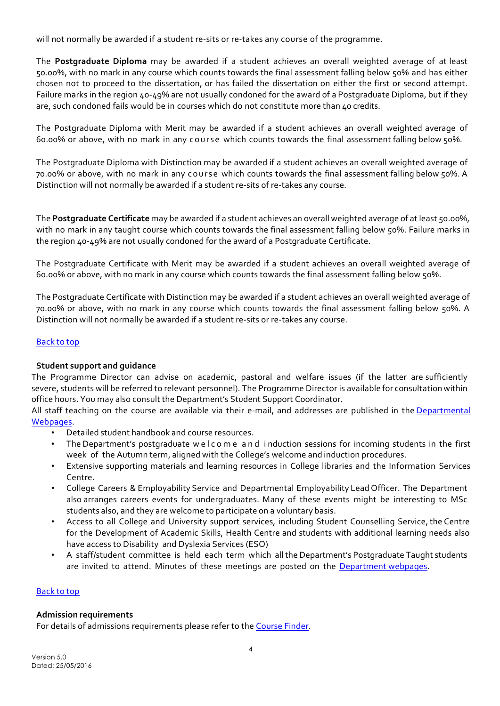will not normally be awarded if a student re-sits or re-takes any course of the programme.

The **Postgraduate Diploma** may be awarded if a student achieves an overall weighted average of at least 50.00%, with no mark in any course which counts towards the final assessment falling below 50% and has either chosen not to proceed to the dissertation, or has failed the dissertation on either the first or second attempt. Failure marks in the region 40-49% are not usually condoned for the award of a Postgraduate Diploma, but if they are, such condoned fails would be in courses which do not constitute more than 40 credits.

The Postgraduate Diploma with Merit may be awarded if a student achieves an overall weighted average of 60.00% or above, with no mark in any course which counts towards the final assessment falling below 50%.

The Postgraduate Diploma with Distinction may be awarded if a student achieves an overall weighted average of 70.00% or above, with no mark in any course which counts towards the final assessment falling below 50%. A Distinction will not normally be awarded if a student re-sits of re-takes any course.

The **Postgraduate Certificate** may be awarded if a student achieves an overall weighted average of at least 50.00%, with no mark in any taught course which counts towards the final assessment falling below 50%. Failure marks in the region 40-49% are not usually condoned for the award of a Postgraduate Certificate.

The Postgraduate Certificate with Merit may be awarded if a student achieves an overall weighted average of 60.00% or above, with no mark in any course which counts towards the final assessment falling below 50%.

The Postgraduate Certificate with Distinction may be awarded if a student achieves an overall weighted average of 70.00% or above, with no mark in any course which counts towards the final assessment falling below 50%. A Distinction will not normally be awarded if a student re-sits or re-takes any course.

### Back to top

### **Student support and guidance**

The Programme Director can advise on academic, pastoral and welfare issues (if the latter are sufficiently severe, students will be referred to relevant personnel). The Programme Director is available for consultation within office hours. You may also consult the Department's Student Support Coordinator.

All staff teaching on the course are available via their e-mail, and addresses are published in the Departmental Webpages.

- Detailed student handbook and course resources.
- The Department's postgraduate welcome and i nduction sessions for incoming students in the first week of the Autumn term, aligned with the College's welcome and induction procedures.
- Extensive supporting materials and learning resources in College libraries and the Information Services Centre.
- College Careers & Employability Service and Departmental Employability Lead Officer. The Department also arranges careers events for undergraduates. Many of these events might be interesting to MSc students also, and they are welcome to participate on a voluntary basis.
- Access to all College and University support services, including Student Counselling Service, the Centre for the Development of Academic Skills, Health Centre and students with additional learning needs also have access to Disability and Dyslexia Services (ESO)
- A staff/student committee is held each term which all the Department's Postgraduate Taught students are invited to attend. Minutes of these meetings are posted on the Department webpages.

### Back to top

### **Admission requirements**

For details of admissions requirements please refer to the Course Finder.